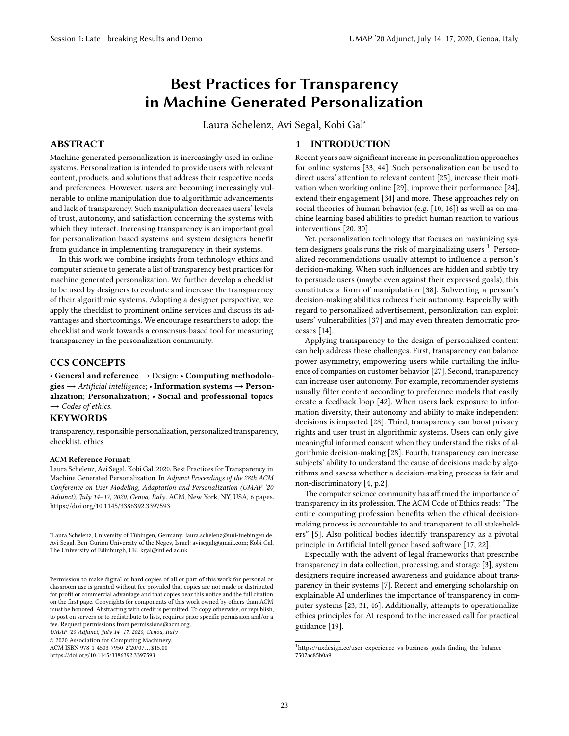# Best Practices for Transparency in Machine Generated Personalization

Laura Schelenz, Avi Segal, Kobi Gal<sup>∗</sup>

# ABSTRACT

Machine generated personalization is increasingly used in online systems. Personalization is intended to provide users with relevant content, products, and solutions that address their respective needs and preferences. However, users are becoming increasingly vulnerable to online manipulation due to algorithmic advancements and lack of transparency. Such manipulation decreases users' levels of trust, autonomy, and satisfaction concerning the systems with which they interact. Increasing transparency is an important goal for personalization based systems and system designers benefit from guidance in implementing transparency in their systems.

In this work we combine insights from technology ethics and computer science to generate a list of transparency best practices for machine generated personalization. We further develop a checklist to be used by designers to evaluate and increase the transparency of their algorithmic systems. Adopting a designer perspective, we apply the checklist to prominent online services and discuss its advantages and shortcomings. We encourage researchers to adopt the checklist and work towards a consensus-based tool for measuring transparency in the personalization community.

# CCS CONCEPTS

• General and reference → Design; • Computing methodologies  $\rightarrow$  Artificial intelligence; • Information systems  $\rightarrow$  Personalization; Personalization; • Social and professional topics  $\rightarrow$  Codes of ethics.

# **KEYWORDS**

transparency, responsible personalization, personalized transparency, checklist, ethics

## ACM Reference Format:

Laura Schelenz, Avi Segal, Kobi Gal. 2020. Best Practices for Transparency in Machine Generated Personalization. In Adjunct Proceedings of the 28th ACM Conference on User Modeling, Adaptation and Personalization (UMAP '20 Adjunct), July 14-17, 2020, Genoa, Italy. ACM, New York, NY, USA, [6](#page-5-0) pages. <https://doi.org/10.1145/3386392.3397593>

UMAP '20 Adjunct, July 14–17, 2020, Genoa, Italy

© 2020 Association for Computing Machinery.

ACM ISBN 978-1-4503-7950-2/20/07. . . \$15.00

<https://doi.org/10.1145/3386392.3397593>

# 1 INTRODUCTION

Recent years saw significant increase in personalization approaches for online systems [\[33,](#page-5-1) [44\]](#page-5-2). Such personalization can be used to direct users' attention to relevant content [\[25\]](#page-5-3), increase their motivation when working online [\[29\]](#page-5-4), improve their performance [\[24\]](#page-5-5), extend their engagement [\[34\]](#page-5-6) and more. These approaches rely on social theories of human behavior (e.g. [\[10,](#page-5-7) [16\]](#page-5-8)) as well as on machine learning based abilities to predict human reaction to various interventions [\[20,](#page-5-9) [30\]](#page-5-10).

Yet, personalization technology that focuses on maximizing system designers goals runs the risk of marginalizing users  $^1$  $^1$ . Personalized recommendations usually attempt to influence a person's decision-making. When such influences are hidden and subtly try to persuade users (maybe even against their expressed goals), this constitutes a form of manipulation [\[38\]](#page-5-11). Subverting a person's decision-making abilities reduces their autonomy. Especially with regard to personalized advertisement, personlization can exploit users' vulnerabilities [\[37\]](#page-5-12) and may even threaten democratic processes [\[14\]](#page-5-13).

Applying transparency to the design of personalized content can help address these challenges. First, transparency can balance power asymmetry, empowering users while curtailing the influence of companies on customer behavior [\[27\]](#page-5-14). Second, transparency can increase user autonomy. For example, recommender systems usually filter content according to preference models that easily create a feedback loop [\[42\]](#page-5-15). When users lack exposure to information diversity, their autonomy and ability to make independent decisions is impacted [\[28\]](#page-5-16). Third, transparency can boost privacy rights and user trust in algorithmic systems. Users can only give meaningful informed consent when they understand the risks of algorithmic decision-making [\[28\]](#page-5-16). Fourth, transparency can increase subjects' ability to understand the cause of decisions made by algorithms and assess whether a decision-making process is fair and non-discriminatory [\[4,](#page-5-17) p.2].

The computer science community has affirmed the importance of transparency in its profession. The ACM Code of Ethics reads: "The entire computing profession benefits when the ethical decisionmaking process is accountable to and transparent to all stakeholders" [\[5\]](#page-5-18). Also political bodies identify transparency as a pivotal principle in Artificial Intelligence based software [\[17,](#page-5-19) [22\]](#page-5-20).

Especially with the advent of legal frameworks that prescribe transparency in data collection, processing, and storage [\[3\]](#page-5-21), system designers require increased awareness and guidance about transparency in their systems [\[7\]](#page-5-22). Recent and emerging scholarship on explainable AI underlines the importance of transparency in computer systems [\[23,](#page-5-23) [31,](#page-5-24) [46\]](#page-5-25). Additionally, attempts to operationalize ethics principles for AI respond to the increased call for practical guidance [\[19\]](#page-5-26).

<sup>∗</sup>Laura Schelenz, University of Tübingen, Germany: laura.schelenz@uni-tuebingen.de; Avi Segal, Ben-Gurion University of the Negev, Israel: avisegal@gmail.com; Kobi Gal, The University of Edinburgh, UK:  $\text{kgal@inf.}$ ed.ac.uk

Permission to make digital or hard copies of all or part of this work for personal or classroom use is granted without fee provided that copies are not made or distributed for profit or commercial advantage and that copies bear this notice and the full citation on the first page. Copyrights for components of this work owned by others than ACM must be honored. Abstracting with credit is permitted. To copy otherwise, or republish, to post on servers or to redistribute to lists, requires prior specific permission and/or a fee. Request permissions from permissions@acm.org.

<span id="page-0-0"></span> $^1$ [https://uxdesign.cc/user-experience-vs-business-goals-finding-the-balance-](https://uxdesign.cc/user-experience-vs-business-goals-finding-the-balance-7507ac85b0a9)[7507ac85b0a9](https://uxdesign.cc/user-experience-vs-business-goals-finding-the-balance-7507ac85b0a9)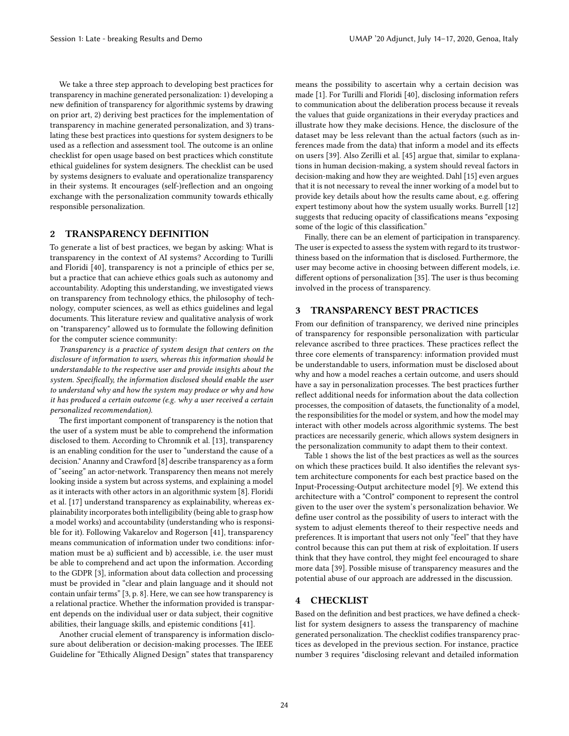We take a three step approach to developing best practices for transparency in machine generated personalization: 1) developing a new definition of transparency for algorithmic systems by drawing on prior art, 2) deriving best practices for the implementation of transparency in machine generated personalization, and 3) translating these best practices into questions for system designers to be used as a reflection and assessment tool. The outcome is an online checklist for open usage based on best practices which constitute ethical guidelines for system designers. The checklist can be used by systems designers to evaluate and operationalize transparency in their systems. It encourages (self-)reflection and an ongoing exchange with the personalization community towards ethically responsible personalization.

# 2 TRANSPARENCY DEFINITION

To generate a list of best practices, we began by asking: What is transparency in the context of AI systems? According to Turilli and Floridi [\[40\]](#page-5-27), transparency is not a principle of ethics per se, but a practice that can achieve ethics goals such as autonomy and accountability. Adopting this understanding, we investigated views on transparency from technology ethics, the philosophy of technology, computer sciences, as well as ethics guidelines and legal documents. This literature review and qualitative analysis of work on "transparency" allowed us to formulate the following definition for the computer science community:

Transparency is a practice of system design that centers on the disclosure of information to users, whereas this information should be understandable to the respective user and provide insights about the system. Specifically, the information disclosed should enable the user to understand why and how the system may produce or why and how it has produced a certain outcome (e.g. why a user received a certain personalized recommendation).

The first important component of transparency is the notion that the user of a system must be able to comprehend the information disclosed to them. According to Chromnik et al. [\[13\]](#page-5-28), transparency is an enabling condition for the user to "understand the cause of a decision." Ananny and Crawford [\[8\]](#page-5-29) describe transparency as a form of "seeing" an actor-network. Transparency then means not merely looking inside a system but across systems, and explaining a model as it interacts with other actors in an algorithmic system [\[8\]](#page-5-29). Floridi et al. [\[17\]](#page-5-19) understand transparency as explainability, whereas explainability incorporates both intelligibility (being able to grasp how a model works) and accountability (understanding who is responsible for it). Following Vakarelov and Rogerson [\[41\]](#page-5-30), transparency means communication of information under two conditions: information must be a) sufficient and b) accessible, i.e. the user must be able to comprehend and act upon the information. According to the GDPR [\[3\]](#page-5-21), information about data collection and processing must be provided in "clear and plain language and it should not contain unfair terms" [\[3,](#page-5-21) p. 8]. Here, we can see how transparency is a relational practice. Whether the information provided is transparent depends on the individual user or data subject, their cognitive abilities, their language skills, and epistemic conditions [\[41\]](#page-5-30).

Another crucial element of transparency is information disclosure about deliberation or decision-making processes. The IEEE Guideline for "Ethically Aligned Design" states that transparency

means the possibility to ascertain why a certain decision was made [\[1\]](#page-5-31). For Turilli and Floridi [\[40\]](#page-5-27), disclosing information refers to communication about the deliberation process because it reveals the values that guide organizations in their everyday practices and illustrate how they make decisions. Hence, the disclosure of the dataset may be less relevant than the actual factors (such as inferences made from the data) that inform a model and its effects on users [\[39\]](#page-5-32). Also Zerilli et al. [\[45\]](#page-5-33) argue that, similar to explanations in human decision-making, a system should reveal factors in decision-making and how they are weighted. Dahl [\[15\]](#page-5-34) even argues that it is not necessary to reveal the inner working of a model but to provide key details about how the results came about, e.g. offering expert testimony about how the system usually works. Burrell [\[12\]](#page-5-35) suggests that reducing opacity of classifications means "exposing some of the logic of this classification."

Finally, there can be an element of participation in transparency. The user is expected to assess the system with regard to its trustworthiness based on the information that is disclosed. Furthermore, the user may become active in choosing between different models, i.e. different options of personalization [\[35\]](#page-5-36). The user is thus becoming involved in the process of transparency.

## 3 TRANSPARENCY BEST PRACTICES

From our definition of transparency, we derived nine principles of transparency for responsible personalization with particular relevance ascribed to three practices. These practices reflect the three core elements of transparency: information provided must be understandable to users, information must be disclosed about why and how a model reaches a certain outcome, and users should have a say in personalization processes. The best practices further reflect additional needs for information about the data collection processes, the composition of datasets, the functionality of a model, the responsibilities for the model or system, and how the model may interact with other models across algorithmic systems. The best practices are necessarily generic, which allows system designers in the personalization community to adapt them to their context.

Table [1](#page-2-0) shows the list of the best practices as well as the sources on which these practices build. It also identifies the relevant system architecture components for each best practice based on the Input-Processing-Output architecture model [\[9\]](#page-5-37). We extend this architecture with a "Control" component to represent the control given to the user over the system's personalization behavior. We define user control as the possibility of users to interact with the system to adjust elements thereof to their respective needs and preferences. It is important that users not only "feel" that they have control because this can put them at risk of exploitation. If users think that they have control, they might feel encouraged to share more data [\[39\]](#page-5-32). Possible misuse of transparency measures and the potential abuse of our approach are addressed in the discussion.

#### 4 CHECKLIST

Based on the definition and best practices, we have defined a checklist for system designers to assess the transparency of machine generated personalization. The checklist codifies transparency practices as developed in the previous section. For instance, practice number 3 requires "disclosing relevant and detailed information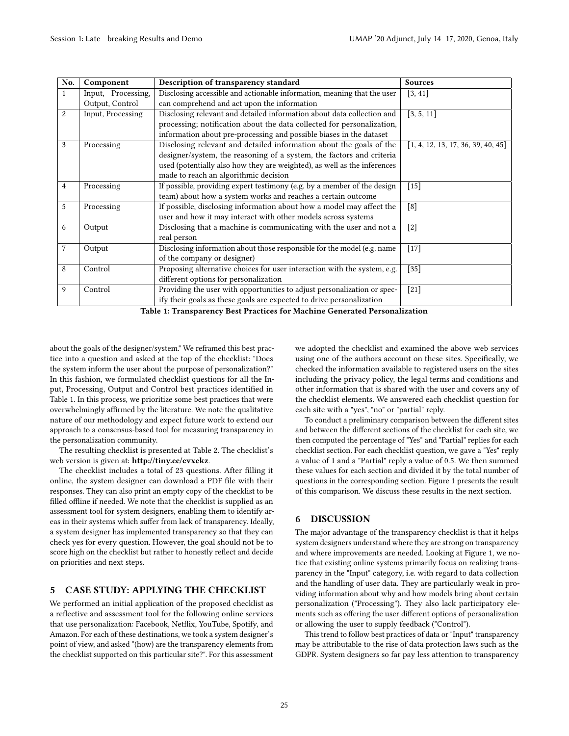<span id="page-2-0"></span>

| No.              | Component          | Description of transparency standard                                     | <b>Sources</b>                     |
|------------------|--------------------|--------------------------------------------------------------------------|------------------------------------|
| 1                | Input, Processing, | Disclosing accessible and actionable information, meaning that the user  | [3, 41]                            |
|                  | Output, Control    | can comprehend and act upon the information                              |                                    |
| $\boldsymbol{2}$ | Input, Processing  | Disclosing relevant and detailed information about data collection and   | [3, 5, 11]                         |
|                  |                    | processing; notification about the data collected for personalization,   |                                    |
|                  |                    | information about pre-processing and possible biases in the dataset      |                                    |
| 3                | Processing         | Disclosing relevant and detailed information about the goals of the      | [1, 4, 12, 13, 17, 36, 39, 40, 45] |
|                  |                    | designer/system, the reasoning of a system, the factors and criteria     |                                    |
|                  |                    | used (potentially also how they are weighted), as well as the inferences |                                    |
|                  |                    | made to reach an algorithmic decision                                    |                                    |
| $\overline{4}$   | Processing         | If possible, providing expert testimony (e.g. by a member of the design  | $[15]$                             |
|                  |                    | team) about how a system works and reaches a certain outcome             |                                    |
| 5                | Processing         | If possible, disclosing information about how a model may affect the     | [8]                                |
|                  |                    | user and how it may interact with other models across systems            |                                    |
| 6                | Output             | Disclosing that a machine is communicating with the user and not a       | $[2]$                              |
|                  |                    | real person                                                              |                                    |
| 7                | Output             | Disclosing information about those responsible for the model (e.g. name  | $[17]$                             |
|                  |                    | of the company or designer)                                              |                                    |
| 8                | Control            | Proposing alternative choices for user interaction with the system, e.g. | $[35]$                             |
|                  |                    | different options for personalization                                    |                                    |
| 9                | Control            | Providing the user with opportunities to adjust personalization or spec- | $[21]$                             |
|                  |                    | ify their goals as these goals are expected to drive personalization     |                                    |

Table 1: Transparency Best Practices for Machine Generated Personalization

about the goals of the designer/system." We reframed this best practice into a question and asked at the top of the checklist: "Does the system inform the user about the purpose of personalization?" In this fashion, we formulated checklist questions for all the Input, Processing, Output and Control best practices identified in Table [1.](#page-2-0) In this process, we prioritize some best practices that were overwhelmingly affirmed by the literature. We note the qualitative nature of our methodology and expect future work to extend our approach to a consensus-based tool for measuring transparency in the personalization community.

The resulting checklist is presented at Table [2.](#page-3-0) The checklist's web version is given at: <http://tiny.cc/evxckz>.

The checklist includes a total of 23 questions. After filling it online, the system designer can download a PDF file with their responses. They can also print an empty copy of the checklist to be filled offline if needed. We note that the checklist is supplied as an assessment tool for system designers, enabling them to identify areas in their systems which suffer from lack of transparency. Ideally, a system designer has implemented transparency so that they can check yes for every question. However, the goal should not be to score high on the checklist but rather to honestly reflect and decide on priorities and next steps.

# 5 CASE STUDY: APPLYING THE CHECKLIST

We performed an initial application of the proposed checklist as a reflective and assessment tool for the following online services that use personalization: Facebook, Netflix, YouTube, Spotify, and Amazon. For each of these destinations, we took a system designer's point of view, and asked "(how) are the transparency elements from the checklist supported on this particular site?". For this assessment we adopted the checklist and examined the above web services using one of the authors account on these sites. Specifically, we checked the information available to registered users on the sites including the privacy policy, the legal terms and conditions and other information that is shared with the user and covers any of the checklist elements. We answered each checklist question for each site with a "yes", "no" or "partial" reply.

To conduct a preliminary comparison between the different sites and between the different sections of the checklist for each site, we then computed the percentage of "Yes" and "Partial" replies for each checklist section. For each checklist question, we gave a "Yes" reply a value of 1 and a "Partial" reply a value of 0.5. We then summed these values for each section and divided it by the total number of questions in the corresponding section. Figure [1](#page-4-0) presents the result of this comparison. We discuss these results in the next section.

# 6 DISCUSSION

The major advantage of the transparency checklist is that it helps system designers understand where they are strong on transparency and where improvements are needed. Looking at Figure [1,](#page-4-0) we notice that existing online systems primarily focus on realizing transparency in the "Input" category, i.e. with regard to data collection and the handling of user data. They are particularly weak in providing information about why and how models bring about certain personalization ("Processing"). They also lack participatory elements such as offering the user different options of personalization or allowing the user to supply feedback ("Control").

This trend to follow best practices of data or "Input" transparency may be attributable to the rise of data protection laws such as the GDPR. System designers so far pay less attention to transparency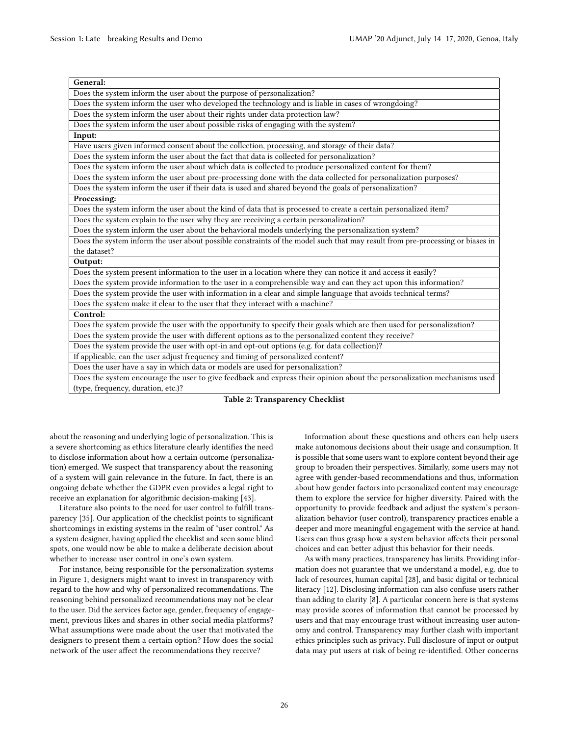<span id="page-3-0"></span>

| General:                                                                                                                      |  |  |  |
|-------------------------------------------------------------------------------------------------------------------------------|--|--|--|
| Does the system inform the user about the purpose of personalization?                                                         |  |  |  |
| Does the system inform the user who developed the technology and is liable in cases of wrongdoing?                            |  |  |  |
| Does the system inform the user about their rights under data protection law?                                                 |  |  |  |
| Does the system inform the user about possible risks of engaging with the system?                                             |  |  |  |
| Input:                                                                                                                        |  |  |  |
| Have users given informed consent about the collection, processing, and storage of their data?                                |  |  |  |
| Does the system inform the user about the fact that data is collected for personalization?                                    |  |  |  |
| Does the system inform the user about which data is collected to produce personalized content for them?                       |  |  |  |
| Does the system inform the user about pre-processing done with the data collected for personalization purposes?               |  |  |  |
| Does the system inform the user if their data is used and shared beyond the goals of personalization?                         |  |  |  |
| Processing:                                                                                                                   |  |  |  |
| Does the system inform the user about the kind of data that is processed to create a certain personalized item?               |  |  |  |
| Does the system explain to the user why they are receiving a certain personalization?                                         |  |  |  |
| Does the system inform the user about the behavioral models underlying the personalization system?                            |  |  |  |
| Does the system inform the user about possible constraints of the model such that may result from pre-processing or biases in |  |  |  |
| the dataset?                                                                                                                  |  |  |  |
| Output:                                                                                                                       |  |  |  |
| Does the system present information to the user in a location where they can notice it and access it easily?                  |  |  |  |
| Does the system provide information to the user in a comprehensible way and can they act upon this information?               |  |  |  |
| Does the system provide the user with information in a clear and simple language that avoids technical terms?                 |  |  |  |
| Does the system make it clear to the user that they interact with a machine?                                                  |  |  |  |
| Control:                                                                                                                      |  |  |  |
| Does the system provide the user with the opportunity to specify their goals which are then used for personalization?         |  |  |  |
| Does the system provide the user with different options as to the personalized content they receive?                          |  |  |  |
| Does the system provide the user with opt-in and opt-out options (e.g. for data collection)?                                  |  |  |  |
| If applicable, can the user adjust frequency and timing of personalized content?                                              |  |  |  |
| Does the user have a say in which data or models are used for personalization?                                                |  |  |  |
| Does the system encourage the user to give feedback and express their opinion about the personalization mechanisms used       |  |  |  |
| (type, frequency, duration, etc.)?                                                                                            |  |  |  |

Table 2: Transparency Checklist

about the reasoning and underlying logic of personalization. This is a severe shortcoming as ethics literature clearly identifies the need to disclose information about how a certain outcome (personalization) emerged. We suspect that transparency about the reasoning of a system will gain relevance in the future. In fact, there is an ongoing debate whether the GDPR even provides a legal right to receive an explanation for algorithmic decision-making [\[43\]](#page-5-42).

Literature also points to the need for user control to fulfill transparency [\[35\]](#page-5-36). Our application of the checklist points to significant shortcomings in existing systems in the realm of "user control." As a system designer, having applied the checklist and seen some blind spots, one would now be able to make a deliberate decision about whether to increase user control in one's own system.

For instance, being responsible for the personalization systems in Figure [1,](#page-4-0) designers might want to invest in transparency with regard to the how and why of personalized recommendations. The reasoning behind personalized recommendations may not be clear to the user. Did the services factor age, gender, frequency of engagement, previous likes and shares in other social media platforms? What assumptions were made about the user that motivated the designers to present them a certain option? How does the social network of the user affect the recommendations they receive?

Information about these questions and others can help users make autonomous decisions about their usage and consumption. It is possible that some users want to explore content beyond their age group to broaden their perspectives. Similarly, some users may not agree with gender-based recommendations and thus, information about how gender factors into personalized content may encourage them to explore the service for higher diversity. Paired with the opportunity to provide feedback and adjust the system's personalization behavior (user control), transparency practices enable a deeper and more meaningful engagement with the service at hand. Users can thus grasp how a system behavior affects their personal choices and can better adjust this behavior for their needs.

As with many practices, transparency has limits. Providing information does not guarantee that we understand a model, e.g. due to lack of resources, human capital [\[28\]](#page-5-16), and basic digital or technical literacy [\[12\]](#page-5-35). Disclosing information can also confuse users rather than adding to clarity [\[8\]](#page-5-29). A particular concern here is that systems may provide scores of information that cannot be processed by users and that may encourage trust without increasing user autonomy and control. Transparency may further clash with important ethics principles such as privacy. Full disclosure of input or output data may put users at risk of being re-identified. Other concerns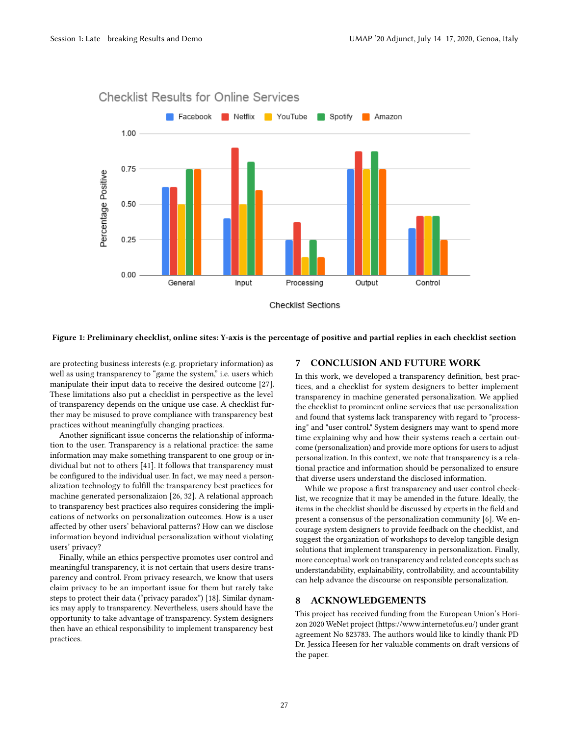

#### <span id="page-4-0"></span>**Checklist Results for Online Services**

#### Figure 1: Preliminary checklist, online sites: Y-axis is the percentage of positive and partial replies in each checklist section

are protecting business interests (e.g. proprietary information) as well as using transparency to "game the system," i.e. users which manipulate their input data to receive the desired outcome [\[27\]](#page-5-14). These limitations also put a checklist in perspective as the level of transparency depends on the unique use case. A checklist further may be misused to prove compliance with transparency best practices without meaningfully changing practices.

Another significant issue concerns the relationship of information to the user. Transparency is a relational practice: the same information may make something transparent to one group or individual but not to others [\[41\]](#page-5-30). It follows that transparency must be configured to the individual user. In fact, we may need a personalization technology to fulfill the transparency best practices for machine generated personalizaion [\[26,](#page-5-43) [32\]](#page-5-44). A relational approach to transparency best practices also requires considering the implications of networks on personalization outcomes. How is a user affected by other users' behavioral patterns? How can we disclose information beyond individual personalization without violating users' privacy?

Finally, while an ethics perspective promotes user control and meaningful transparency, it is not certain that users desire transparency and control. From privacy research, we know that users claim privacy to be an important issue for them but rarely take steps to protect their data ("privacy paradox") [\[18\]](#page-5-45). Similar dynamics may apply to transparency. Nevertheless, users should have the opportunity to take advantage of transparency. System designers then have an ethical responsibility to implement transparency best practices.

# 7 CONCLUSION AND FUTURE WORK

In this work, we developed a transparency definition, best practices, and a checklist for system designers to better implement transparency in machine generated personalization. We applied the checklist to prominent online services that use personalization and found that systems lack transparency with regard to "processing" and "user control." System designers may want to spend more time explaining why and how their systems reach a certain outcome (personalization) and provide more options for users to adjust personalization. In this context, we note that transparency is a relational practice and information should be personalized to ensure that diverse users understand the disclosed information.

While we propose a first transparency and user control checklist, we recognize that it may be amended in the future. Ideally, the items in the checklist should be discussed by experts in the field and present a consensus of the personalization community [\[6\]](#page-5-46). We encourage system designers to provide feedback on the checklist, and suggest the organization of workshops to develop tangible design solutions that implement transparency in personalization. Finally, more conceptual work on transparency and related concepts such as understandability, explainability, controllability, and accountability can help advance the discourse on responsible personalization.

# 8 ACKNOWLEDGEMENTS

This project has received funding from the European Union's Horizon 2020 WeNet project (https://www.internetofus.eu/) under grant agreement No 823783. The authors would like to kindly thank PD Dr. Jessica Heesen for her valuable comments on draft versions of the paper.